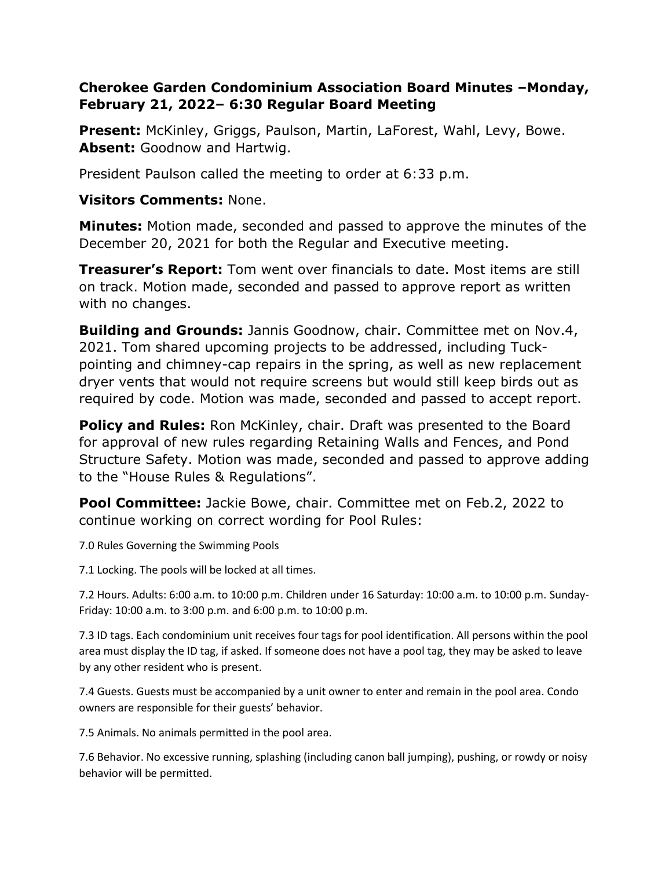## **Cherokee Garden Condominium Association Board Minutes –Monday, February 21, 2022– 6:30 Regular Board Meeting**

**Present:** McKinley, Griggs, Paulson, Martin, LaForest, Wahl, Levy, Bowe. **Absent:** Goodnow and Hartwig.

President Paulson called the meeting to order at 6:33 p.m.

## **Visitors Comments:** None.

**Minutes:** Motion made, seconded and passed to approve the minutes of the December 20, 2021 for both the Regular and Executive meeting.

**Treasurer's Report:** Tom went over financials to date. Most items are still on track. Motion made, seconded and passed to approve report as written with no changes.

**Building and Grounds:** Jannis Goodnow, chair. Committee met on Nov.4, 2021. Tom shared upcoming projects to be addressed, including Tuckpointing and chimney-cap repairs in the spring, as well as new replacement dryer vents that would not require screens but would still keep birds out as required by code. Motion was made, seconded and passed to accept report.

**Policy and Rules:** Ron McKinley, chair. Draft was presented to the Board for approval of new rules regarding Retaining Walls and Fences, and Pond Structure Safety. Motion was made, seconded and passed to approve adding to the "House Rules & Regulations".

**Pool Committee:** Jackie Bowe, chair. Committee met on Feb.2, 2022 to continue working on correct wording for Pool Rules:

7.0 Rules Governing the Swimming Pools

7.1 Locking. The pools will be locked at all times.

7.2 Hours. Adults: 6:00 a.m. to 10:00 p.m. Children under 16 Saturday: 10:00 a.m. to 10:00 p.m. Sunday-Friday: 10:00 a.m. to 3:00 p.m. and 6:00 p.m. to 10:00 p.m.

7.3 ID tags. Each condominium unit receives four tags for pool identification. All persons within the pool area must display the ID tag, if asked. If someone does not have a pool tag, they may be asked to leave by any other resident who is present.

7.4 Guests. Guests must be accompanied by a unit owner to enter and remain in the pool area. Condo owners are responsible for their guests' behavior.

7.5 Animals. No animals permitted in the pool area.

7.6 Behavior. No excessive running, splashing (including canon ball jumping), pushing, or rowdy or noisy behavior will be permitted.